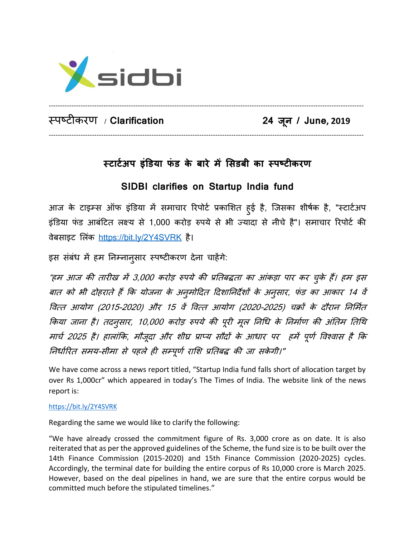

स्पष्टीकरण / **Clarification 24 ज**

**ू न / June, 2019**

## **स्टाटटअप इंडिया फं ि के बारे में सििबी का स्पष्टीकरण**

------------------------------------------------------------------------------------------------------------------------------------------

------------------------------------------------------------------------------------------------------------------------------------------

## **SIDBI clarifies on Startup India fund**

आज के टाइम्स ऑफ इंडिया में समाचार रिपोर्ट प्रकाशित हुई है, जिसका शीर्षक है, "स्टार्टअप इंडिया फंड आबंटित लक्ष्य से 1,000 करोड़ रुपये से भी ज्यादा से नीचे है"। समाचार रिपोर्ट की वेबसाइट लिंक <https://bit.ly/2Y4SVRK> है।

इस संबंध में हम ननम्नानुसार स्पष्टीकरण देना चाहेंगे:

"हम आज की तारीख में 3,000 करोड़ रुपये की प्रनतबद्धता का आंकड़ा पार कर चुके हैं। हम इस बात को भी दोहराते हैं कि योजना के अनुमोदित दिशानिर्देशों के अनुसार, फंड का आकार 14 वें वित्त आयोग (2015-2020) और 15 वें वित्त आयोग (2020-2025) चक्रों के दौरान निर्मित किया जाना है। तदनुसार, 10,000 करोड़ रुपये की पूरी मूल निधि के निर्माण की अंतिम तिथि मार्च 2025 है। हालांकि, मौजूदा और शीघ्र प्राप्य सौदों के आधार पर हमें पूर्ण विश्वास है कि निर्धारित समय-सीमा से पहले ही सम्पूर्ण राशि प्रतिबद्ध की जा सकेगी।"

We have come across a news report titled, "Startup India fund falls short of allocation target by over Rs 1,000cr" which appeared in today's The Times of India. The website link of the news report is:

## <https://bit.ly/2Y4SVRK>

Regarding the same we would like to clarify the following:

"We have already crossed the commitment figure of Rs. 3,000 crore as on date. It is also reiterated that as per the approved guidelines of the Scheme, the fund size is to be built over the 14th Finance Commission (2015-2020) and 15th Finance Commission (2020-2025) cycles. Accordingly, the terminal date for building the entire corpus of Rs 10,000 crore is March 2025. However, based on the deal pipelines in hand, we are sure that the entire corpus would be committed much before the stipulated timelines."